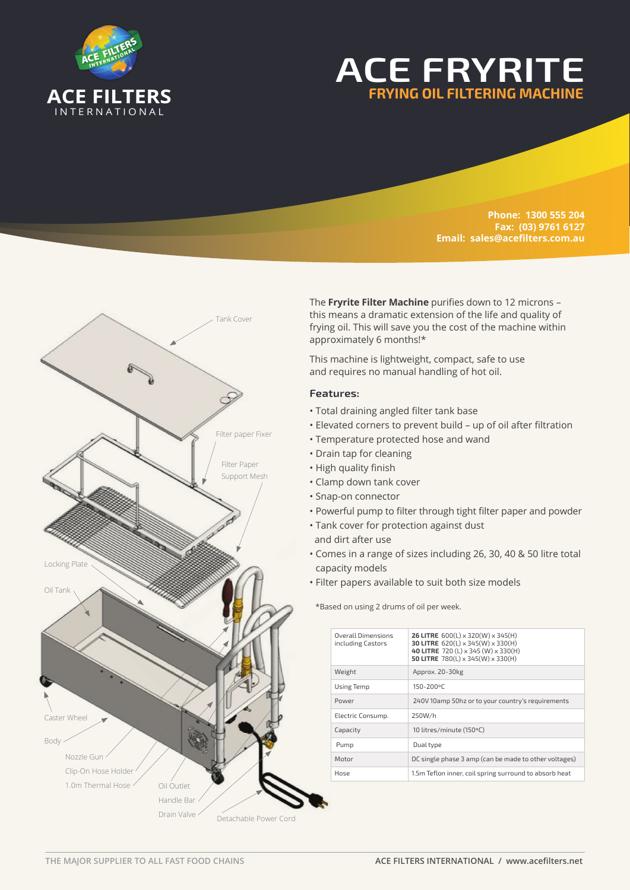

# **ACE FRYRITE FRYING OIL FILTERING MACHINE**

**Phone: 1300 555 204 Fax: (03) 9761 6127 Email: sales@acefilters.com.au**



The **Fryrite Filter Machine** purifies down to 12 microns – this means a dramatic extension of the life and quality of frying oil. This will save you the cost of the machine within approximately 6 months!\*

This machine is lightweight, compact, safe to use and requires no manual handling of hot oil.

## **Features:**

- Total draining angled filter tank base
- Elevated corners to prevent build up of oil after filtration
- Temperature protected hose and wand
- Drain tap for cleaning
- High quality finish
- Clamp down tank cover
- Snap-on connector
- Powerful pump to filter through tight filter paper and powder
- Tank cover for protection against dust
- and dirt after use
- Comes in a range of sizes including 26, 30, 40 & 50 litre total capacity models
- Filter papers available to suit both size models

\*Based on using 2 drums of oil per week.

| <b>Overall Dimensions</b><br>including Castors | <b>26 LITRE</b> $600(L) \times 320(W) \times 345(H)$<br>30 LITRE 620(L) x 345(W) x 330(H)<br>40 LITRE 720 (L) x 345 (W) x 330 (H)<br>50 LITRE 780(L) x 345(W) x 330(H) |
|------------------------------------------------|------------------------------------------------------------------------------------------------------------------------------------------------------------------------|
| Weight                                         | Approx. 20-30kg                                                                                                                                                        |
| <b>Using Temp</b>                              | 150-200°C                                                                                                                                                              |
| Power                                          | 240V 10amp 50hz or to your country's requirements                                                                                                                      |
| Electric Consump.                              | 250W/h                                                                                                                                                                 |
| Capacity                                       | 10 litres/minute (150°C)                                                                                                                                               |
| Pump                                           | Dual type                                                                                                                                                              |
| Motor                                          | DC single phase 3 amp (can be made to other voltages)                                                                                                                  |
| Hose                                           | 1.5m Teflon inner, coil spring surround to absorb heat                                                                                                                 |